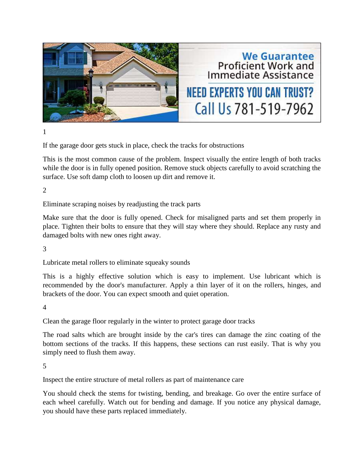

1

If the garage door gets stuck in place, check the tracks for obstructions

This is the most common cause of the problem. Inspect visually the entire length of both tracks while the door is in fully opened position. Remove stuck objects carefully to avoid scratching the surface. Use soft damp cloth to loosen up dirt and remove it.

2

Eliminate scraping noises by readjusting the track parts

Make sure that the door is fully opened. Check for misaligned parts and set them properly in place. Tighten their bolts to ensure that they will stay where they should. Replace any rusty and damaged bolts with new ones right away.

3

Lubricate metal rollers to eliminate squeaky sounds

This is a highly effective solution which is easy to implement. Use lubricant which is recommended by the door's manufacturer. Apply a thin layer of it on the rollers, hinges, and brackets of the door. You can expect smooth and quiet operation.

4

Clean the garage floor regularly in the winter to protect garage door tracks

The road salts which are brought inside by the car's tires can damage the zinc coating of the bottom sections of the tracks. If this happens, these sections can rust easily. That is why you simply need to flush them away.

5

Inspect the entire structure of metal rollers as part of maintenance care

You should check the stems for twisting, bending, and breakage. Go over the entire surface of each wheel carefully. Watch out for bending and damage. If you notice any physical damage, you should have these parts replaced immediately.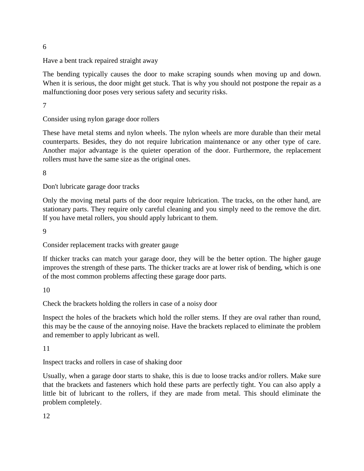6

Have a bent track repaired straight away

The bending typically causes the door to make scraping sounds when moving up and down. When it is serious, the door might get stuck. That is why you should not postpone the repair as a malfunctioning door poses very serious safety and security risks.

7

Consider using nylon garage door rollers

These have metal stems and nylon wheels. The nylon wheels are more durable than their metal counterparts. Besides, they do not require lubrication maintenance or any other type of care. Another major advantage is the quieter operation of the door. Furthermore, the replacement rollers must have the same size as the original ones.

8

Don't lubricate garage door tracks

Only the moving metal parts of the door require lubrication. The tracks, on the other hand, are stationary parts. They require only careful cleaning and you simply need to the remove the dirt. If you have metal rollers, you should apply lubricant to them.

 $\overline{Q}$ 

Consider replacement tracks with greater gauge

If thicker tracks can match your garage door, they will be the better option. The higher gauge improves the strength of these parts. The thicker tracks are at lower risk of bending, which is one of the most common problems affecting these garage door parts.

10

Check the brackets holding the rollers in case of a noisy door

Inspect the holes of the brackets which hold the roller stems. If they are oval rather than round, this may be the cause of the annoying noise. Have the brackets replaced to eliminate the problem and remember to apply lubricant as well.

11

Inspect tracks and rollers in case of shaking door

Usually, when a garage door starts to shake, this is due to loose tracks and/or rollers. Make sure that the brackets and fasteners which hold these parts are perfectly tight. You can also apply a little bit of lubricant to the rollers, if they are made from metal. This should eliminate the problem completely.

12